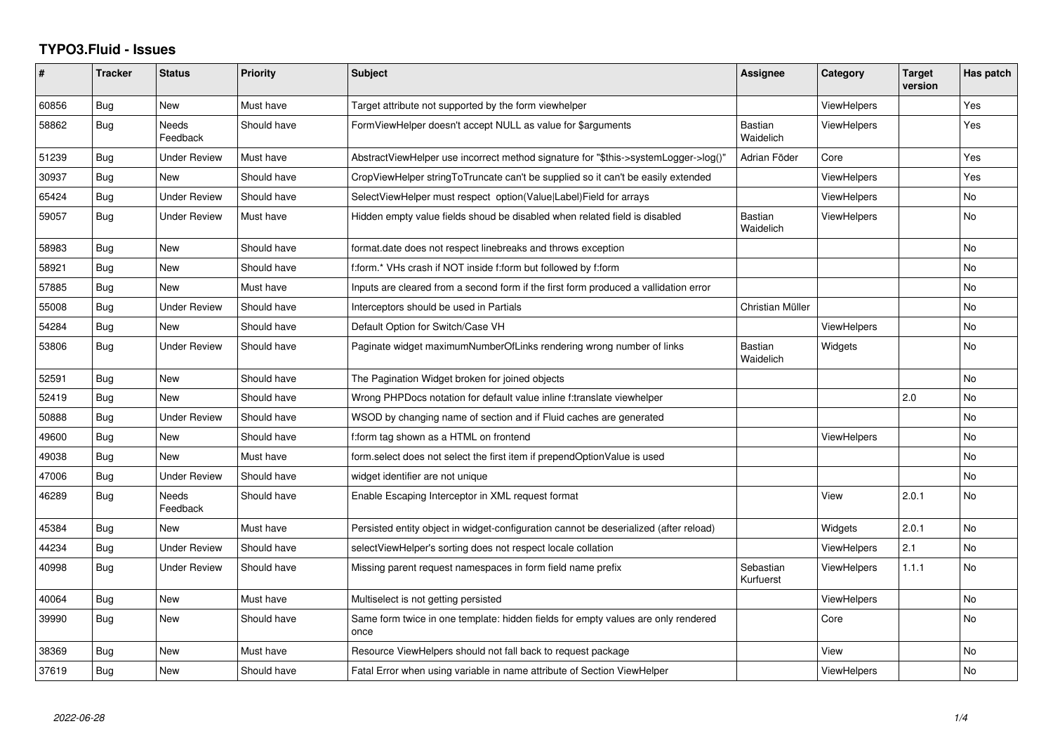## **TYPO3.Fluid - Issues**

| ∦     | <b>Tracker</b> | <b>Status</b>       | <b>Priority</b> | <b>Subject</b>                                                                            | Assignee                    | Category           | <b>Target</b><br>version | Has patch |
|-------|----------------|---------------------|-----------------|-------------------------------------------------------------------------------------------|-----------------------------|--------------------|--------------------------|-----------|
| 60856 | Bug            | New                 | Must have       | Target attribute not supported by the form viewhelper                                     |                             | ViewHelpers        |                          | Yes       |
| 58862 | Bug            | Needs<br>Feedback   | Should have     | FormViewHelper doesn't accept NULL as value for \$arguments                               | Bastian<br>Waidelich        | ViewHelpers        |                          | Yes       |
| 51239 | <b>Bug</b>     | Under Review        | Must have       | AbstractViewHelper use incorrect method signature for "\$this->systemLogger->log()"       | Adrian Föder                | Core               |                          | Yes       |
| 30937 | Bug            | <b>New</b>          | Should have     | CropViewHelper stringToTruncate can't be supplied so it can't be easily extended          |                             | <b>ViewHelpers</b> |                          | Yes       |
| 65424 | Bug            | <b>Under Review</b> | Should have     | SelectViewHelper must respect option(Value Label)Field for arrays                         |                             | <b>ViewHelpers</b> |                          | No        |
| 59057 | Bug            | <b>Under Review</b> | Must have       | Hidden empty value fields shoud be disabled when related field is disabled                | <b>Bastian</b><br>Waidelich | <b>ViewHelpers</b> |                          | No        |
| 58983 | Bug            | New                 | Should have     | format.date does not respect linebreaks and throws exception                              |                             |                    |                          | No        |
| 58921 | Bug            | New                 | Should have     | f:form.* VHs crash if NOT inside f:form but followed by f:form                            |                             |                    |                          | <b>No</b> |
| 57885 | Bug            | New                 | Must have       | Inputs are cleared from a second form if the first form produced a vallidation error      |                             |                    |                          | No        |
| 55008 | <b>Bug</b>     | <b>Under Review</b> | Should have     | Interceptors should be used in Partials                                                   | Christian Müller            |                    |                          | No        |
| 54284 | Bug            | <b>New</b>          | Should have     | Default Option for Switch/Case VH                                                         |                             | <b>ViewHelpers</b> |                          | No.       |
| 53806 | Bug            | Under Review        | Should have     | Paginate widget maximumNumberOfLinks rendering wrong number of links                      | <b>Bastian</b><br>Waidelich | Widgets            |                          | No        |
| 52591 | Bug            | New                 | Should have     | The Pagination Widget broken for joined objects                                           |                             |                    |                          | <b>No</b> |
| 52419 | Bug            | New                 | Should have     | Wrong PHPDocs notation for default value inline f:translate viewhelper                    |                             |                    | 2.0                      | <b>No</b> |
| 50888 | Bug            | <b>Under Review</b> | Should have     | WSOD by changing name of section and if Fluid caches are generated                        |                             |                    |                          | <b>No</b> |
| 49600 | Bug            | New                 | Should have     | f:form tag shown as a HTML on frontend                                                    |                             | <b>ViewHelpers</b> |                          | No        |
| 49038 | <b>Bug</b>     | <b>New</b>          | Must have       | form.select does not select the first item if prependOptionValue is used                  |                             |                    |                          | <b>No</b> |
| 47006 | Bug            | Under Review        | Should have     | widget identifier are not unique                                                          |                             |                    |                          | <b>No</b> |
| 46289 | Bug            | Needs<br>Feedback   | Should have     | Enable Escaping Interceptor in XML request format                                         |                             | View               | 2.0.1                    | <b>No</b> |
| 45384 | Bug            | New                 | Must have       | Persisted entity object in widget-configuration cannot be deserialized (after reload)     |                             | Widgets            | 2.0.1                    | <b>No</b> |
| 44234 | Bug            | Under Review        | Should have     | selectViewHelper's sorting does not respect locale collation                              |                             | ViewHelpers        | 2.1                      | <b>No</b> |
| 40998 | Bug            | Under Review        | Should have     | Missing parent request namespaces in form field name prefix                               | Sebastian<br>Kurfuerst      | ViewHelpers        | 1.1.1                    | <b>No</b> |
| 40064 | Bug            | New                 | Must have       | Multiselect is not getting persisted                                                      |                             | ViewHelpers        |                          | No        |
| 39990 | Bug            | New                 | Should have     | Same form twice in one template: hidden fields for empty values are only rendered<br>once |                             | Core               |                          | No        |
| 38369 | Bug            | New                 | Must have       | Resource ViewHelpers should not fall back to request package                              |                             | View               |                          | No        |
| 37619 | Bug            | New                 | Should have     | Fatal Error when using variable in name attribute of Section ViewHelper                   |                             | <b>ViewHelpers</b> |                          | No        |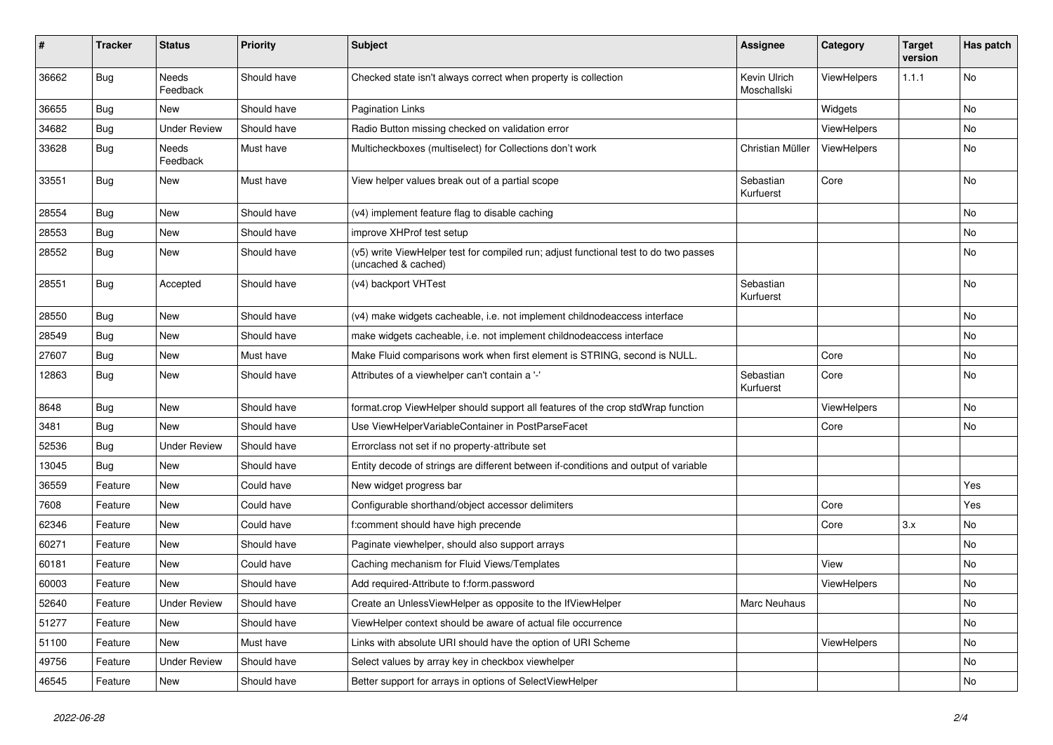| #     | <b>Tracker</b> | <b>Status</b>            | <b>Priority</b> | <b>Subject</b>                                                                                              | <b>Assignee</b>             | Category    | <b>Target</b><br>version | Has patch |
|-------|----------------|--------------------------|-----------------|-------------------------------------------------------------------------------------------------------------|-----------------------------|-------------|--------------------------|-----------|
| 36662 | Bug            | <b>Needs</b><br>Feedback | Should have     | Checked state isn't always correct when property is collection                                              | Kevin Ulrich<br>Moschallski | ViewHelpers | 1.1.1                    | No        |
| 36655 | Bug            | New                      | Should have     | Pagination Links                                                                                            |                             | Widgets     |                          | No        |
| 34682 | Bug            | <b>Under Review</b>      | Should have     | Radio Button missing checked on validation error                                                            |                             | ViewHelpers |                          | No        |
| 33628 | Bug            | Needs<br>Feedback        | Must have       | Multicheckboxes (multiselect) for Collections don't work                                                    | Christian Müller            | ViewHelpers |                          | No        |
| 33551 | <b>Bug</b>     | New                      | Must have       | View helper values break out of a partial scope                                                             | Sebastian<br>Kurfuerst      | Core        |                          | No        |
| 28554 | Bug            | <b>New</b>               | Should have     | (v4) implement feature flag to disable caching                                                              |                             |             |                          | No        |
| 28553 | Bug            | New                      | Should have     | improve XHProf test setup                                                                                   |                             |             |                          | No        |
| 28552 | <b>Bug</b>     | New                      | Should have     | (v5) write ViewHelper test for compiled run; adjust functional test to do two passes<br>(uncached & cached) |                             |             |                          | No        |
| 28551 | <b>Bug</b>     | Accepted                 | Should have     | (v4) backport VHTest                                                                                        | Sebastian<br>Kurfuerst      |             |                          | No        |
| 28550 | Bug            | <b>New</b>               | Should have     | (v4) make widgets cacheable, i.e. not implement childnodeaccess interface                                   |                             |             |                          | No        |
| 28549 | Bug            | New                      | Should have     | make widgets cacheable, i.e. not implement childnodeaccess interface                                        |                             |             |                          | No        |
| 27607 | Bug            | <b>New</b>               | Must have       | Make Fluid comparisons work when first element is STRING, second is NULL.                                   |                             | Core        |                          | No        |
| 12863 | Bug            | New                      | Should have     | Attributes of a viewhelper can't contain a '-'                                                              | Sebastian<br>Kurfuerst      | Core        |                          | No        |
| 8648  | Bug            | New                      | Should have     | format.crop ViewHelper should support all features of the crop stdWrap function                             |                             | ViewHelpers |                          | No        |
| 3481  | Bug            | <b>New</b>               | Should have     | Use ViewHelperVariableContainer in PostParseFacet                                                           |                             | Core        |                          | No        |
| 52536 | Bug            | <b>Under Review</b>      | Should have     | Errorclass not set if no property-attribute set                                                             |                             |             |                          |           |
| 13045 | Bug            | New                      | Should have     | Entity decode of strings are different between if-conditions and output of variable                         |                             |             |                          |           |
| 36559 | Feature        | New                      | Could have      | New widget progress bar                                                                                     |                             |             |                          | Yes       |
| 7608  | Feature        | New                      | Could have      | Configurable shorthand/object accessor delimiters                                                           |                             | Core        |                          | Yes       |
| 62346 | Feature        | New                      | Could have      | f:comment should have high precende                                                                         |                             | Core        | 3.x                      | No        |
| 60271 | Feature        | New                      | Should have     | Paginate viewhelper, should also support arrays                                                             |                             |             |                          | No        |
| 60181 | Feature        | New                      | Could have      | Caching mechanism for Fluid Views/Templates                                                                 |                             | View        |                          | No        |
| 60003 | Feature        | New                      | Should have     | Add required-Attribute to f:form.password                                                                   |                             | ViewHelpers |                          | No        |
| 52640 | Feature        | <b>Under Review</b>      | Should have     | Create an UnlessViewHelper as opposite to the IfViewHelper                                                  | <b>Marc Neuhaus</b>         |             |                          | No        |
| 51277 | Feature        | New                      | Should have     | ViewHelper context should be aware of actual file occurrence                                                |                             |             |                          | No        |
| 51100 | Feature        | New                      | Must have       | Links with absolute URI should have the option of URI Scheme                                                |                             | ViewHelpers |                          | No        |
| 49756 | Feature        | <b>Under Review</b>      | Should have     | Select values by array key in checkbox viewhelper                                                           |                             |             |                          | No        |
| 46545 | Feature        | New                      | Should have     | Better support for arrays in options of SelectViewHelper                                                    |                             |             |                          | No        |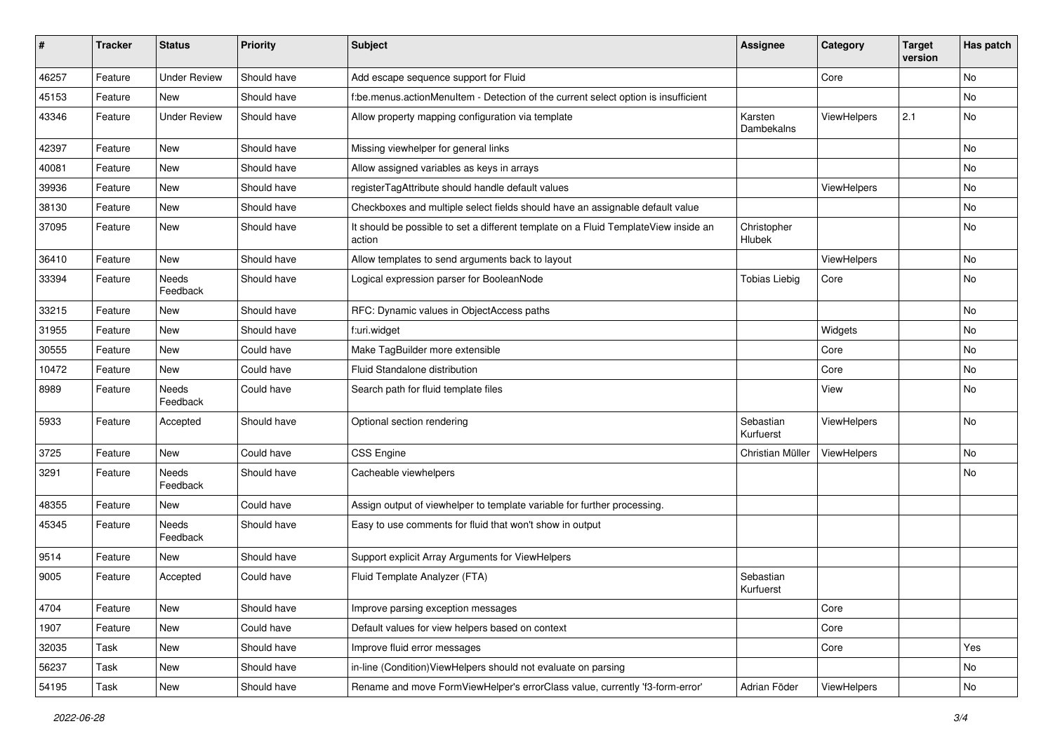| #     | <b>Tracker</b> | <b>Status</b>       | <b>Priority</b> | Subject                                                                                       | <b>Assignee</b>        | Category    | <b>Target</b><br>version | Has patch |
|-------|----------------|---------------------|-----------------|-----------------------------------------------------------------------------------------------|------------------------|-------------|--------------------------|-----------|
| 46257 | Feature        | <b>Under Review</b> | Should have     | Add escape sequence support for Fluid                                                         |                        | Core        |                          | No        |
| 45153 | Feature        | New                 | Should have     | f:be.menus.actionMenuItem - Detection of the current select option is insufficient            |                        |             |                          | No        |
| 43346 | Feature        | <b>Under Review</b> | Should have     | Allow property mapping configuration via template                                             | Karsten<br>Dambekalns  | ViewHelpers | 2.1                      | No        |
| 42397 | Feature        | New                 | Should have     | Missing viewhelper for general links                                                          |                        |             |                          | No        |
| 40081 | Feature        | <b>New</b>          | Should have     | Allow assigned variables as keys in arrays                                                    |                        |             |                          | <b>No</b> |
| 39936 | Feature        | New                 | Should have     | registerTagAttribute should handle default values                                             |                        | ViewHelpers |                          | No        |
| 38130 | Feature        | New                 | Should have     | Checkboxes and multiple select fields should have an assignable default value                 |                        |             |                          | No        |
| 37095 | Feature        | <b>New</b>          | Should have     | It should be possible to set a different template on a Fluid TemplateView inside an<br>action | Christopher<br>Hlubek  |             |                          | No        |
| 36410 | Feature        | New                 | Should have     | Allow templates to send arguments back to layout                                              |                        | ViewHelpers |                          | No        |
| 33394 | Feature        | Needs<br>Feedback   | Should have     | Logical expression parser for BooleanNode                                                     | <b>Tobias Liebig</b>   | Core        |                          | No        |
| 33215 | Feature        | New                 | Should have     | RFC: Dynamic values in ObjectAccess paths                                                     |                        |             |                          | <b>No</b> |
| 31955 | Feature        | New                 | Should have     | f:uri.widget                                                                                  |                        | Widgets     |                          | No        |
| 30555 | Feature        | New                 | Could have      | Make TagBuilder more extensible                                                               |                        | Core        |                          | No        |
| 10472 | Feature        | <b>New</b>          | Could have      | Fluid Standalone distribution                                                                 |                        | Core        |                          | No        |
| 8989  | Feature        | Needs<br>Feedback   | Could have      | Search path for fluid template files                                                          |                        | View        |                          | No        |
| 5933  | Feature        | Accepted            | Should have     | Optional section rendering                                                                    | Sebastian<br>Kurfuerst | ViewHelpers |                          | <b>No</b> |
| 3725  | Feature        | New                 | Could have      | CSS Engine                                                                                    | Christian Müller       | ViewHelpers |                          | <b>No</b> |
| 3291  | Feature        | Needs<br>Feedback   | Should have     | Cacheable viewhelpers                                                                         |                        |             |                          | No        |
| 48355 | Feature        | New                 | Could have      | Assign output of viewhelper to template variable for further processing.                      |                        |             |                          |           |
| 45345 | Feature        | Needs<br>Feedback   | Should have     | Easy to use comments for fluid that won't show in output                                      |                        |             |                          |           |
| 9514  | Feature        | New                 | Should have     | Support explicit Array Arguments for ViewHelpers                                              |                        |             |                          |           |
| 9005  | Feature        | Accepted            | Could have      | Fluid Template Analyzer (FTA)                                                                 | Sebastian<br>Kurfuerst |             |                          |           |
| 4704  | Feature        | New                 | Should have     | Improve parsing exception messages                                                            |                        | Core        |                          |           |
| 1907  | Feature        | New                 | Could have      | Default values for view helpers based on context                                              |                        | Core        |                          |           |
| 32035 | Task           | New                 | Should have     | Improve fluid error messages                                                                  |                        | Core        |                          | Yes       |
| 56237 | Task           | New                 | Should have     | in-line (Condition) ViewHelpers should not evaluate on parsing                                |                        |             |                          | No        |
| 54195 | Task           | New                 | Should have     | Rename and move FormViewHelper's errorClass value, currently 'f3-form-error'                  | Adrian Föder           | ViewHelpers |                          | No        |